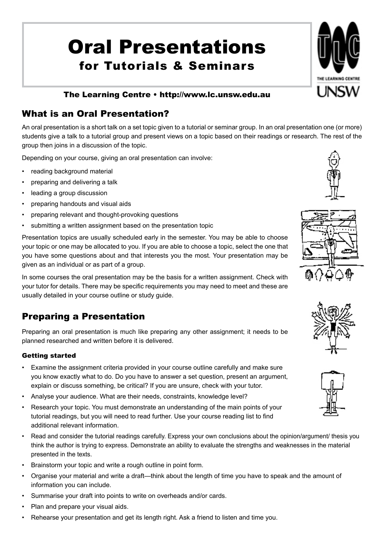# Oral Presentations for Tutorials & Seminars



# What is an Oral Presentation?

An oral presentation is a short talk on a set topic given to a tutorial or seminar group. In an oral presentation one (or more) students give a talk to a tutorial group and present views on a topic based on their readings or research. The rest of the group then joins in a discussion of the topic.

Depending on your course, giving an oral presentation can involve:

- reading background material
- preparing and delivering a talk
- leading a group discussion
- preparing handouts and visual aids
- preparing relevant and thought-provoking questions
- submitting a written assignment based on the presentation topic

Presentation topics are usually scheduled early in the semester. You may be able to choose your topic or one may be allocated to you. If you are able to choose a topic, select the one that you have some questions about and that interests you the most. Your presentation may be given as an individual or as part of a group.

In some courses the oral presentation may be the basis for a written assignment. Check with your tutor for details. There may be specific requirements you may need to meet and these are usually detailed in your course outline or study guide.

# Preparing a Presentation

Preparing an oral presentation is much like preparing any other assignment; it needs to be planned researched and written before it is delivered.

## Getting started

- • Examine the assignment criteria provided in your course outline carefully and make sure you know exactly what to do. Do you have to answer a set question, present an argument, explain or discuss something, be critical? If you are unsure, check with your tutor.
- Analyse your audience. What are their needs, constraints, knowledge level?
- Research your topic. You must demonstrate an understanding of the main points of your tutorial readings, but you will need to read further. Use your course reading list to find additional relevant information.
- Read and consider the tutorial readings carefully. Express your own conclusions about the opinion/argument/ thesis you think the author is trying to express. Demonstrate an ability to evaluate the strengths and weaknesses in the material presented in the texts.
- • Brainstorm your topic and write a rough outline in point form.
- • Organise your material and write a draft—think about the length of time you have to speak and the amount of information you can include.
- • Summarise your draft into points to write on overheads and/or cards.
- Plan and prepare your visual aids.
- Rehearse your presentation and get its length right. Ask a friend to listen and time you.









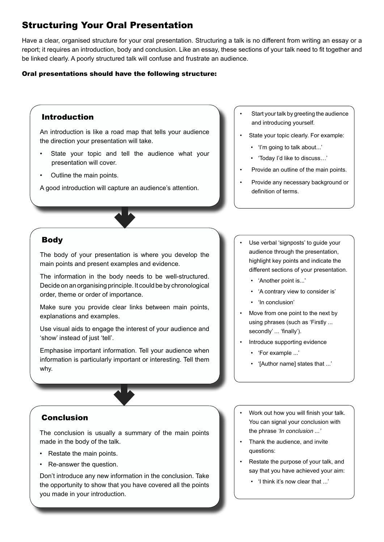# Structuring Your Oral Presentation

Have a clear, organised structure for your oral presentation. Structuring a talk is no different from writing an essay or a report; it requires an introduction, body and conclusion. Like an essay, these sections of your talk need to fit together and be linked clearly. A poorly structured talk will confuse and frustrate an audience.

#### Oral presentations should have the following structure:

## Body The body of your presentation is where you develop the main points and present examples and evidence. The information in the body needs to be well-structured. Decide on an organising principle. It could be by chronological order, theme or order of importance. Make sure you provide clear links between main points, explanations and examples. Use visual aids to engage the interest of your audience and 'show' instead of just 'tell'. Emphasise important information. Tell your audience when information is particularly important or interesting. Tell them why. Conclusion The conclusion is usually a summary of the main points Introduction An introduction is like a road map that tells your audience the direction your presentation will take. State your topic and tell the audience what your presentation will cover. Outline the main points. A good introduction will capture an audience's attention. Start your talk by greeting the audience and introducing yourself. State your topic clearly. For example: • 'I'm going to talk about...' • 'Today I'd like to discuss…' Provide an outline of the main points. Provide any necessary background or definition of terms. • 'Another point is...' • 'In conclusion' secondly' ... 'finally'). • 'For example ...' Work out how you will finish your talk. You can signal your conclusion with the phrase *'In conclusion ...'*

- Thank the audience, and invite questions:
- Restate the purpose of your talk, and say that you have achieved your aim:
	- • 'I think it's now clear that ...'

made in the body of the talk.

- • Restate the main points.
- • Re-answer the question.

Don't introduce any new information in the conclusion. Take the opportunity to show that you have covered all the points you made in your introduction.

- Use verbal 'signposts' to guide your audience through the presentation, highlight key points and indicate the different sections of your presentation.
	- • 'A contrary view to consider is'
- Move from one point to the next by using phrases (such as 'Firstly ...
- Introduce supporting evidence
	- • '[Author name] states that ...'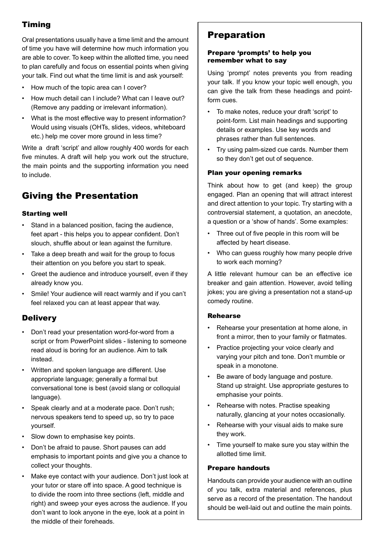## Timing

Oral presentations usually have a time limit and the amount of time you have will determine how much information you are able to cover. To keep within the allotted time, you need to plan carefully and focus on essential points when giving your talk. Find out what the time limit is and ask yourself:

- • How much of the topic area can I cover?
- How much detail can I include? What can I leave out? (Remove any padding or irrelevant information).
- What is the most effective way to present information? Would using visuals (OHTs, slides, videos, whiteboard etc.) help me cover more ground in less time?

Write a draft 'script' and allow roughly 400 words for each five minutes. A draft will help you work out the structure, the main points and the supporting information you need to include.

# Giving the Presentation

## Starting well

- Stand in a balanced position, facing the audience, feet apart - this helps you to appear confident. Don't slouch, shuffle about or lean against the furniture.
- Take a deep breath and wait for the group to focus their attention on you before you start to speak.
- • Greet the audience and introduce yourself, even if they already know you.
- Smile! Your audience will react warmly and if you can't feel relaxed you can at least appear that way.

## **Delivery**

- • Don't read your presentation word-for-word from a script or from PowerPoint slides - listening to someone read aloud is boring for an audience. Aim to talk instead.
- • Written and spoken language are different. Use appropriate language; generally a formal but conversational tone is best (avoid slang or colloquial language).
- • Speak clearly and at a moderate pace. Don't rush; nervous speakers tend to speed up, so try to pace yourself.
- • Slow down to emphasise key points.
- • Don't be afraid to pause. Short pauses can add emphasis to important points and give you a chance to collect your thoughts.
- Make eye contact with your audience. Don't just look at your tutor or stare off into space. A good technique is to divide the room into three sections (left, middle and right) and sweep your eyes across the audience. If you don't want to look anyone in the eye, look at a point in the middle of their foreheads.

# Preparation

#### Prepare 'prompts' to help you remember what to say

Using 'prompt' notes prevents you from reading your talk. If you know your topic well enough, you can give the talk from these headings and pointform cues.

- • To make notes, reduce your draft 'script' to point-form. List main headings and supporting details or examples. Use key words and phrases rather than full sentences.
- • Try using palm-sized cue cards. Number them so they don't get out of sequence.

## Plan your opening remarks

Think about how to get (and keep) the group engaged. Plan an opening that will attract interest and direct attention to your topic. Try starting with a controversial statement, a quotation, an anecdote, a question or a 'show of hands'. Some examples:

- • Three out of five people in this room will be affected by heart disease.
- Who can guess roughly how many people drive to work each morning?

A little relevant humour can be an effective ice breaker and gain attention. However, avoid telling jokes; you are giving a presentation not a stand-up comedy routine.

## Rehearse

- Rehearse your presentation at home alone, in front a mirror, then to your family or flatmates.
- Practice projecting your voice clearly and varying your pitch and tone. Don't mumble or speak in a monotone.
- • Be aware of body language and posture. Stand up straight. Use appropriate gestures to emphasise your points.
- • Rehearse with notes. Practise speaking naturally, glancing at your notes occasionally.
- Rehearse with your visual aids to make sure they work.
- • Time yourself to make sure you stay within the allotted time limit.

## Prepare handouts

Handouts can provide your audience with an outline of you talk, extra material and references, plus serve as a record of the presentation. The handout should be well-laid out and outline the main points.